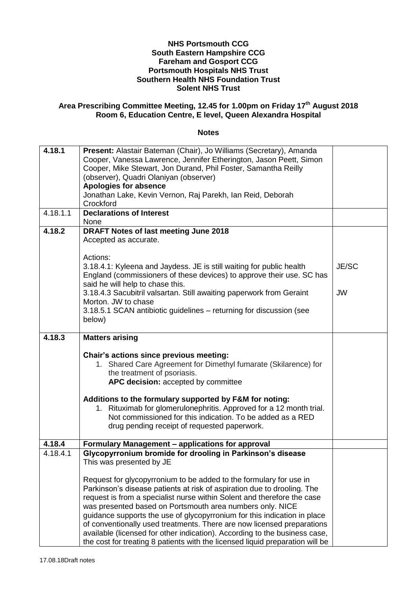## **NHS Portsmouth CCG South Eastern Hampshire CCG Fareham and Gosport CCG Portsmouth Hospitals NHS Trust Southern Health NHS Foundation Trust Solent NHS Trust**

## **Area Prescribing Committee Meeting, 12.45 for 1.00pm on Friday 17th August 2018 Room 6, Education Centre, E level, Queen Alexandra Hospital**

## **Notes**

| 4.18.1   | Present: Alastair Bateman (Chair), Jo Williams (Secretary), Amanda<br>Cooper, Vanessa Lawrence, Jennifer Etherington, Jason Peett, Simon<br>Cooper, Mike Stewart, Jon Durand, Phil Foster, Samantha Reilly<br>(observer), Quadri Olaniyan (observer)<br><b>Apologies for absence</b><br>Jonathan Lake, Kevin Vernon, Raj Parekh, Ian Reid, Deborah<br>Crockford                                                                                                                                                                      |           |
|----------|--------------------------------------------------------------------------------------------------------------------------------------------------------------------------------------------------------------------------------------------------------------------------------------------------------------------------------------------------------------------------------------------------------------------------------------------------------------------------------------------------------------------------------------|-----------|
| 4.18.1.1 | <b>Declarations of Interest</b><br>None                                                                                                                                                                                                                                                                                                                                                                                                                                                                                              |           |
| 4.18.2   | <b>DRAFT Notes of last meeting June 2018</b><br>Accepted as accurate.                                                                                                                                                                                                                                                                                                                                                                                                                                                                |           |
|          | Actions:<br>3.18.4.1: Kyleena and Jaydess. JE is still waiting for public health<br>England (commissioners of these devices) to approve their use. SC has<br>said he will help to chase this.                                                                                                                                                                                                                                                                                                                                        | JE/SC     |
|          | 3.18.4.3 Sacubitril valsartan. Still awaiting paperwork from Geraint<br>Morton. JW to chase<br>3.18.5.1 SCAN antibiotic guidelines – returning for discussion (see                                                                                                                                                                                                                                                                                                                                                                   | <b>JW</b> |
|          | below)                                                                                                                                                                                                                                                                                                                                                                                                                                                                                                                               |           |
| 4.18.3   | <b>Matters arising</b>                                                                                                                                                                                                                                                                                                                                                                                                                                                                                                               |           |
|          | Chair's actions since previous meeting:<br>1. Shared Care Agreement for Dimethyl fumarate (Skilarence) for<br>the treatment of psoriasis.<br>APC decision: accepted by committee                                                                                                                                                                                                                                                                                                                                                     |           |
|          | Additions to the formulary supported by F&M for noting:<br>Rituximab for glomerulonephritis. Approved for a 12 month trial.<br>1.<br>Not commissioned for this indication. To be added as a RED<br>drug pending receipt of requested paperwork.                                                                                                                                                                                                                                                                                      |           |
| 4.18.4   | Formulary Management - applications for approval                                                                                                                                                                                                                                                                                                                                                                                                                                                                                     |           |
| 4.18.4.1 | Glycopyrronium bromide for drooling in Parkinson's disease<br>This was presented by JE<br>Request for glycopyrronium to be added to the formulary for use in                                                                                                                                                                                                                                                                                                                                                                         |           |
|          | Parkinson's disease patients at risk of aspiration due to drooling. The<br>request is from a specialist nurse within Solent and therefore the case<br>was presented based on Portsmouth area numbers only. NICE<br>guidance supports the use of glycopyrronium for this indication in place<br>of conventionally used treatments. There are now licensed preparations<br>available (licensed for other indication). According to the business case,<br>the cost for treating 8 patients with the licensed liquid preparation will be |           |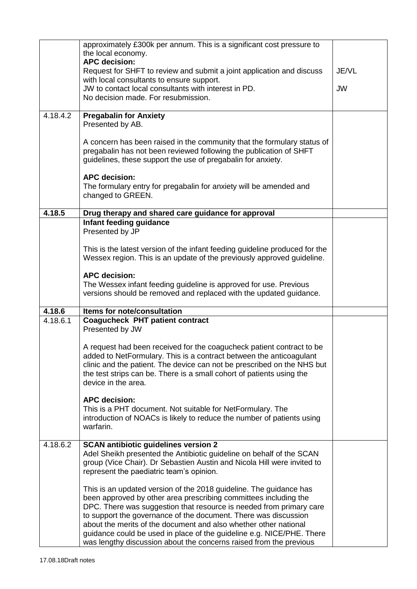|          | approximately £300k per annum. This is a significant cost pressure to<br>the local economy.<br><b>APC decision:</b><br>Request for SHFT to review and submit a joint application and discuss<br>with local consultants to ensure support.<br>JW to contact local consultants with interest in PD.<br>No decision made. For resubmission.                                                                                                                                                            | JE/VL<br><b>JW</b> |
|----------|-----------------------------------------------------------------------------------------------------------------------------------------------------------------------------------------------------------------------------------------------------------------------------------------------------------------------------------------------------------------------------------------------------------------------------------------------------------------------------------------------------|--------------------|
| 4.18.4.2 | <b>Pregabalin for Anxiety</b><br>Presented by AB.<br>A concern has been raised in the community that the formulary status of<br>pregabalin has not been reviewed following the publication of SHFT<br>guidelines, these support the use of pregabalin for anxiety.<br><b>APC decision:</b><br>The formulary entry for pregabalin for anxiety will be amended and<br>changed to GREEN.                                                                                                               |                    |
|          |                                                                                                                                                                                                                                                                                                                                                                                                                                                                                                     |                    |
| 4.18.5   | Drug therapy and shared care guidance for approval<br>Infant feeding guidance<br>Presented by JP                                                                                                                                                                                                                                                                                                                                                                                                    |                    |
|          | This is the latest version of the infant feeding guideline produced for the<br>Wessex region. This is an update of the previously approved guideline.                                                                                                                                                                                                                                                                                                                                               |                    |
|          | <b>APC decision:</b><br>The Wessex infant feeding guideline is approved for use. Previous<br>versions should be removed and replaced with the updated guidance.                                                                                                                                                                                                                                                                                                                                     |                    |
| 4.18.6   | Items for note/consultation                                                                                                                                                                                                                                                                                                                                                                                                                                                                         |                    |
| 4.18.6.1 | <b>Coagucheck PHT patient contract</b><br>Presented by JW<br>A request had been received for the coagucheck patient contract to be<br>added to NetFormulary. This is a contract between the anticoagulant<br>clinic and the patient. The device can not be prescribed on the NHS but<br>the test strips can be. There is a small cohort of patients using the<br>device in the area.                                                                                                                |                    |
|          | <b>APC decision:</b><br>This is a PHT document. Not suitable for NetFormulary. The<br>introduction of NOACs is likely to reduce the number of patients using<br>warfarin.                                                                                                                                                                                                                                                                                                                           |                    |
| 4.18.6.2 | <b>SCAN antibiotic guidelines version 2</b><br>Adel Sheikh presented the Antibiotic guideline on behalf of the SCAN<br>group (Vice Chair). Dr Sebastien Austin and Nicola Hill were invited to<br>represent the paediatric team's opinion.                                                                                                                                                                                                                                                          |                    |
|          | This is an updated version of the 2018 guideline. The guidance has<br>been approved by other area prescribing committees including the<br>DPC. There was suggestion that resource is needed from primary care<br>to support the governance of the document. There was discussion<br>about the merits of the document and also whether other national<br>guidance could be used in place of the guideline e.g. NICE/PHE. There<br>was lengthy discussion about the concerns raised from the previous |                    |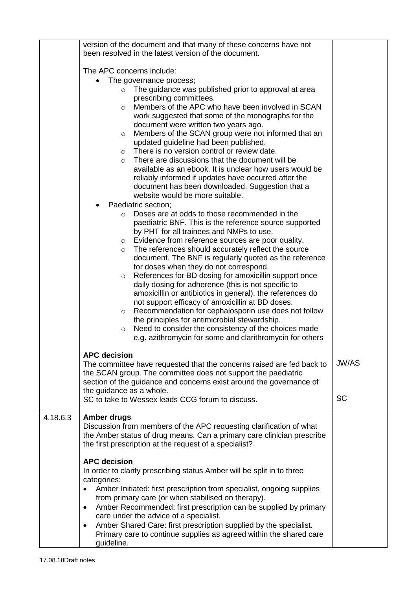|          | version of the document and that many of these concerns have not<br>been resolved in the latest version of the document.                                                                                                                                                                                                                                                                                                                                                                                                                                                                                                                                                                                                                                                                                                                |              |
|----------|-----------------------------------------------------------------------------------------------------------------------------------------------------------------------------------------------------------------------------------------------------------------------------------------------------------------------------------------------------------------------------------------------------------------------------------------------------------------------------------------------------------------------------------------------------------------------------------------------------------------------------------------------------------------------------------------------------------------------------------------------------------------------------------------------------------------------------------------|--------------|
|          | The APC concerns include:<br>The governance process;<br>The guidance was published prior to approval at area<br>$\circ$<br>prescribing committees.<br>Members of the APC who have been involved in SCAN<br>$\circ$<br>work suggested that some of the monographs for the<br>document were written two years ago.<br>Members of the SCAN group were not informed that an<br>$\circ$<br>updated guideline had been published.<br>There is no version control or review date.<br>$\circ$<br>There are discussions that the document will be<br>$\circ$<br>available as an ebook. It is unclear how users would be<br>reliably informed if updates have occurred after the<br>document has been downloaded. Suggestion that a                                                                                                               |              |
|          | website would be more suitable.<br>Paediatric section;<br>Doses are at odds to those recommended in the<br>$\circ$                                                                                                                                                                                                                                                                                                                                                                                                                                                                                                                                                                                                                                                                                                                      |              |
|          | paediatric BNF. This is the reference source supported<br>by PHT for all trainees and NMPs to use.<br>Evidence from reference sources are poor quality.<br>$\circ$<br>The references should accurately reflect the source<br>$\circ$<br>document. The BNF is regularly quoted as the reference<br>for doses when they do not correspond.<br>References for BD dosing for amoxicillin support once<br>$\circ$<br>daily dosing for adherence (this is not specific to<br>amoxicillin or antibiotics in general), the references do<br>not support efficacy of amoxicillin at BD doses.<br>Recommendation for cephalosporin use does not follow<br>$\circ$<br>the principles for antimicrobial stewardship.<br>Need to consider the consistency of the choices made<br>$\circ$<br>e.g. azithromycin for some and clarithromycin for others |              |
|          | <b>APC decision</b><br>The committee have requested that the concerns raised are fed back to<br>the SCAN group. The committee does not support the paediatric<br>section of the guidance and concerns exist around the governance of<br>the guidance as a whole.                                                                                                                                                                                                                                                                                                                                                                                                                                                                                                                                                                        | <b>JW/AS</b> |
|          | SC to take to Wessex leads CCG forum to discuss.                                                                                                                                                                                                                                                                                                                                                                                                                                                                                                                                                                                                                                                                                                                                                                                        | <b>SC</b>    |
| 4.18.6.3 | <b>Amber drugs</b><br>Discussion from members of the APC requesting clarification of what<br>the Amber status of drug means. Can a primary care clinician prescribe<br>the first prescription at the request of a specialist?                                                                                                                                                                                                                                                                                                                                                                                                                                                                                                                                                                                                           |              |
|          | <b>APC decision</b><br>In order to clarify prescribing status Amber will be split in to three<br>categories:<br>Amber Initiated: first prescription from specialist, ongoing supplies<br>from primary care (or when stabilised on therapy).<br>Amber Recommended: first prescription can be supplied by primary<br>٠<br>care under the advice of a specialist.<br>Amber Shared Care: first prescription supplied by the specialist.<br>$\bullet$<br>Primary care to continue supplies as agreed within the shared care<br>guideline.                                                                                                                                                                                                                                                                                                    |              |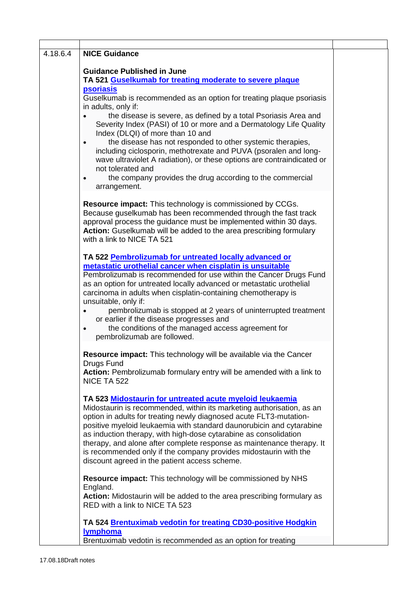| 4.18.6.4 | <b>NICE Guidance</b>                                                                                                                                                                                                                                                                                                                                                                                                                                                                                                                                                                                                                                                                                                                  |  |
|----------|---------------------------------------------------------------------------------------------------------------------------------------------------------------------------------------------------------------------------------------------------------------------------------------------------------------------------------------------------------------------------------------------------------------------------------------------------------------------------------------------------------------------------------------------------------------------------------------------------------------------------------------------------------------------------------------------------------------------------------------|--|
|          | <b>Guidance Published in June</b><br>TA 521 Guselkumab for treating moderate to severe plaque<br><b>psoriasis</b><br>Guselkumab is recommended as an option for treating plaque psoriasis<br>in adults, only if:<br>the disease is severe, as defined by a total Psoriasis Area and<br>Severity Index (PASI) of 10 or more and a Dermatology Life Quality<br>Index (DLQI) of more than 10 and<br>the disease has not responded to other systemic therapies,<br>$\bullet$<br>including ciclosporin, methotrexate and PUVA (psoralen and long-<br>wave ultraviolet A radiation), or these options are contraindicated or<br>not tolerated and<br>the company provides the drug according to the commercial<br>$\bullet$<br>arrangement. |  |
|          | Resource impact: This technology is commissioned by CCGs.<br>Because guselkumab has been recommended through the fast track<br>approval process the guidance must be implemented within 30 days.<br>Action: Guselkumab will be added to the area prescribing formulary<br>with a link to NICE TA 521                                                                                                                                                                                                                                                                                                                                                                                                                                  |  |
|          | TA 522 Pembrolizumab for untreated locally advanced or<br>metastatic urothelial cancer when cisplatin is unsuitable<br>Pembrolizumab is recommended for use within the Cancer Drugs Fund<br>as an option for untreated locally advanced or metastatic urothelial<br>carcinoma in adults when cisplatin-containing chemotherapy is<br>unsuitable, only if:<br>pembrolizumab is stopped at 2 years of uninterrupted treatment<br>or earlier if the disease progresses and<br>the conditions of the managed access agreement for<br>$\bullet$<br>pembrolizumab are followed.                                                                                                                                                             |  |
|          | Resource impact: This technology will be available via the Cancer<br>Drugs Fund<br>Action: Pembrolizumab formulary entry will be amended with a link to<br>NICE TA 522                                                                                                                                                                                                                                                                                                                                                                                                                                                                                                                                                                |  |
|          | TA 523 Midostaurin for untreated acute myeloid leukaemia<br>Midostaurin is recommended, within its marketing authorisation, as an<br>option in adults for treating newly diagnosed acute FLT3-mutation-<br>positive myeloid leukaemia with standard daunorubicin and cytarabine<br>as induction therapy, with high-dose cytarabine as consolidation<br>therapy, and alone after complete response as maintenance therapy. It<br>is recommended only if the company provides midostaurin with the<br>discount agreed in the patient access scheme.                                                                                                                                                                                     |  |
|          | <b>Resource impact:</b> This technology will be commissioned by NHS<br>England.<br>Action: Midostaurin will be added to the area prescribing formulary as<br>RED with a link to NICE TA 523                                                                                                                                                                                                                                                                                                                                                                                                                                                                                                                                           |  |
|          | TA 524 Brentuximab vedotin for treating CD30-positive Hodgkin<br>lymphoma<br>Brentuximab vedotin is recommended as an option for treating                                                                                                                                                                                                                                                                                                                                                                                                                                                                                                                                                                                             |  |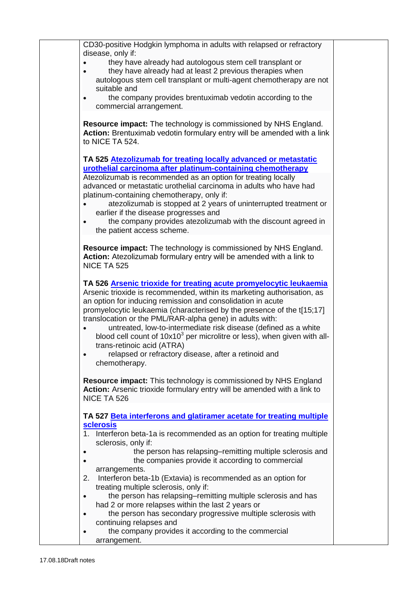|           | CD30-positive Hodgkin lymphoma in adults with relapsed or refractory                                                                              |
|-----------|---------------------------------------------------------------------------------------------------------------------------------------------------|
|           | disease, only if:                                                                                                                                 |
|           | they have already had autologous stem cell transplant or                                                                                          |
| $\bullet$ | they have already had at least 2 previous therapies when                                                                                          |
|           | autologous stem cell transplant or multi-agent chemotherapy are not                                                                               |
|           | suitable and                                                                                                                                      |
| $\bullet$ | the company provides brentuximab vedotin according to the<br>commercial arrangement.                                                              |
|           |                                                                                                                                                   |
|           | <b>Resource impact:</b> The technology is commissioned by NHS England.<br>Action: Brentuximab vedotin formulary entry will be amended with a link |
|           | to NICE TA 524.                                                                                                                                   |
|           | TA 525 Atezolizumab for treating locally advanced or metastatic                                                                                   |
|           | urothelial carcinoma after platinum-containing chemotherapy                                                                                       |
|           | Atezolizumab is recommended as an option for treating locally                                                                                     |
|           | advanced or metastatic urothelial carcinoma in adults who have had                                                                                |
|           | platinum-containing chemotherapy, only if:                                                                                                        |
|           | atezolizumab is stopped at 2 years of uninterrupted treatment or                                                                                  |
|           | earlier if the disease progresses and                                                                                                             |
| $\bullet$ | the company provides atezolizumab with the discount agreed in                                                                                     |
|           | the patient access scheme.                                                                                                                        |
|           |                                                                                                                                                   |
|           | Resource impact: The technology is commissioned by NHS England.<br>Action: Atezolizumab formulary entry will be amended with a link to            |
|           | NICE TA 525                                                                                                                                       |
|           |                                                                                                                                                   |
|           | TA 526 Arsenic trioxide for treating acute promyelocytic leukaemia                                                                                |
|           | Arsenic trioxide is recommended, within its marketing authorisation, as                                                                           |
|           | an option for inducing remission and consolidation in acute                                                                                       |
|           | promyelocytic leukaemia (characterised by the presence of the t[15;17]                                                                            |
|           | translocation or the PML/RAR-alpha gene) in adults with:                                                                                          |
| $\bullet$ | untreated, low-to-intermediate risk disease (defined as a white                                                                                   |
|           | blood cell count of $10x103$ per microlitre or less), when given with all-                                                                        |
|           | trans-retinoic acid (ATRA)                                                                                                                        |
| $\bullet$ | relapsed or refractory disease, after a retinoid and<br>chemotherapy.                                                                             |
|           |                                                                                                                                                   |
|           | Resource impact: This technology is commissioned by NHS England                                                                                   |
|           | Action: Arsenic trioxide formulary entry will be amended with a link to                                                                           |
|           | NICE TA 526                                                                                                                                       |
|           |                                                                                                                                                   |
|           | TA 527 Beta interferons and glatiramer acetate for treating multiple                                                                              |
|           | <b>sclerosis</b>                                                                                                                                  |
|           | 1. Interferon beta-1a is recommended as an option for treating multiple<br>sclerosis, only if:                                                    |
|           | the person has relapsing-remitting multiple sclerosis and                                                                                         |
|           | the companies provide it according to commercial                                                                                                  |
|           | arrangements.                                                                                                                                     |
| 2.        | Interferon beta-1b (Extavia) is recommended as an option for                                                                                      |
|           | treating multiple sclerosis, only if:                                                                                                             |
|           | the person has relapsing–remitting multiple sclerosis and has                                                                                     |
| $\bullet$ |                                                                                                                                                   |
|           | had 2 or more relapses within the last 2 years or                                                                                                 |
| $\bullet$ | the person has secondary progressive multiple sclerosis with                                                                                      |
|           | continuing relapses and                                                                                                                           |
| $\bullet$ | the company provides it according to the commercial<br>arrangement.                                                                               |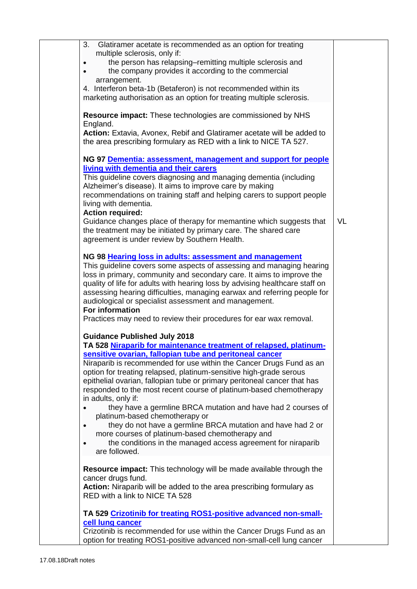| 3.<br>Glatiramer acetate is recommended as an option for treating                                                                                     |           |
|-------------------------------------------------------------------------------------------------------------------------------------------------------|-----------|
| multiple sclerosis, only if:<br>the person has relapsing-remitting multiple sclerosis and<br>$\bullet$                                                |           |
| the company provides it according to the commercial                                                                                                   |           |
| arrangement.                                                                                                                                          |           |
| 4. Interferon beta-1b (Betaferon) is not recommended within its                                                                                       |           |
| marketing authorisation as an option for treating multiple sclerosis.                                                                                 |           |
| <b>Resource impact:</b> These technologies are commissioned by NHS                                                                                    |           |
| England.<br>Action: Extavia, Avonex, Rebif and Glatiramer acetate will be added to                                                                    |           |
| the area prescribing formulary as RED with a link to NICE TA 527.                                                                                     |           |
| NG 97 Dementia: assessment, management and support for people                                                                                         |           |
| living with dementia and their carers                                                                                                                 |           |
| This guideline covers diagnosing and managing dementia (including                                                                                     |           |
| Alzheimer's disease). It aims to improve care by making<br>recommendations on training staff and helping carers to support people                     |           |
| living with dementia.                                                                                                                                 |           |
| <b>Action required:</b>                                                                                                                               |           |
| Guidance changes place of therapy for memantine which suggests that                                                                                   | <b>VL</b> |
| the treatment may be initiated by primary care. The shared care<br>agreement is under review by Southern Health.                                      |           |
|                                                                                                                                                       |           |
| NG 98 Hearing loss in adults: assessment and management                                                                                               |           |
| This guideline covers some aspects of assessing and managing hearing                                                                                  |           |
| loss in primary, community and secondary care. It aims to improve the<br>quality of life for adults with hearing loss by advising healthcare staff on |           |
| assessing hearing difficulties, managing earwax and referring people for                                                                              |           |
| audiological or specialist assessment and management.                                                                                                 |           |
| For information                                                                                                                                       |           |
| Practices may need to review their procedures for ear wax removal.                                                                                    |           |
| <b>Guidance Published July 2018</b>                                                                                                                   |           |
| TA 528 Niraparib for maintenance treatment of relapsed, platinum-                                                                                     |           |
| sensitive ovarian, fallopian tube and peritoneal cancer                                                                                               |           |
| Niraparib is recommended for use within the Cancer Drugs Fund as an                                                                                   |           |
| option for treating relapsed, platinum-sensitive high-grade serous<br>epithelial ovarian, fallopian tube or primary peritoneal cancer that has        |           |
| responded to the most recent course of platinum-based chemotherapy                                                                                    |           |
| in adults, only if:                                                                                                                                   |           |
| they have a germline BRCA mutation and have had 2 courses of                                                                                          |           |
| platinum-based chemotherapy or                                                                                                                        |           |
| they do not have a germline BRCA mutation and have had 2 or<br>$\bullet$<br>more courses of platinum-based chemotherapy and                           |           |
| the conditions in the managed access agreement for niraparib<br>$\bullet$                                                                             |           |
| are followed.                                                                                                                                         |           |
| <b>Resource impact:</b> This technology will be made available through the                                                                            |           |
| cancer drugs fund.                                                                                                                                    |           |
| Action: Niraparib will be added to the area prescribing formulary as                                                                                  |           |
| RED with a link to NICE TA 528                                                                                                                        |           |
| TA 529 Crizotinib for treating ROS1-positive advanced non-small-                                                                                      |           |
| cell lung cancer<br>Crizotinib is recommended for use within the Cancer Drugs Fund as an                                                              |           |
| option for treating ROS1-positive advanced non-small-cell lung cancer                                                                                 |           |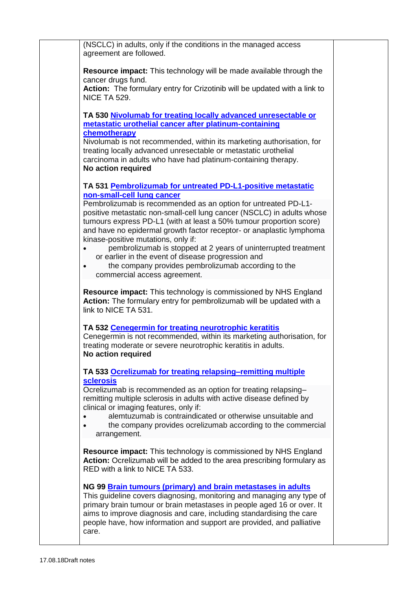| (NSCLC) in adults, only if the conditions in the managed access<br>agreement are followed.                                                                                                                                                                                                                                                                                |  |
|---------------------------------------------------------------------------------------------------------------------------------------------------------------------------------------------------------------------------------------------------------------------------------------------------------------------------------------------------------------------------|--|
| <b>Resource impact:</b> This technology will be made available through the<br>cancer drugs fund.                                                                                                                                                                                                                                                                          |  |
| Action: The formulary entry for Crizotinib will be updated with a link to<br><b>NICE TA 529.</b>                                                                                                                                                                                                                                                                          |  |
| TA 530 Nivolumab for treating locally advanced unresectable or<br>metastatic urothelial cancer after platinum-containing                                                                                                                                                                                                                                                  |  |
| chemotherapy<br>Nivolumab is not recommended, within its marketing authorisation, for<br>treating locally advanced unresectable or metastatic urothelial<br>carcinoma in adults who have had platinum-containing therapy.<br>No action required                                                                                                                           |  |
| TA 531 Pembrolizumab for untreated PD-L1-positive metastatic<br>non-small-cell lung cancer                                                                                                                                                                                                                                                                                |  |
| Pembrolizumab is recommended as an option for untreated PD-L1-<br>positive metastatic non-small-cell lung cancer (NSCLC) in adults whose<br>tumours express PD-L1 (with at least a 50% tumour proportion score)<br>and have no epidermal growth factor receptor- or anaplastic lymphoma<br>kinase-positive mutations, only if:                                            |  |
| pembrolizumab is stopped at 2 years of uninterrupted treatment<br>$\bullet$<br>or earlier in the event of disease progression and<br>the company provides pembrolizumab according to the<br>$\bullet$<br>commercial access agreement.                                                                                                                                     |  |
| <b>Resource impact:</b> This technology is commissioned by NHS England<br>Action: The formulary entry for pembrolizumab will be updated with a<br>link to NICE TA 531.                                                                                                                                                                                                    |  |
| TA 532 Cenegermin for treating neurotrophic keratitis<br>Cenegermin is not recommended, within its marketing authorisation, for<br>treating moderate or severe neurotrophic keratitis in adults.<br>No action required                                                                                                                                                    |  |
| TA 533 Ocrelizumab for treating relapsing-remitting multiple<br><b>sclerosis</b>                                                                                                                                                                                                                                                                                          |  |
| Ocrelizumab is recommended as an option for treating relapsing-<br>remitting multiple sclerosis in adults with active disease defined by<br>clinical or imaging features, only if:                                                                                                                                                                                        |  |
| alemtuzumab is contraindicated or otherwise unsuitable and<br>the company provides ocrelizumab according to the commercial<br>arrangement.                                                                                                                                                                                                                                |  |
| <b>Resource impact:</b> This technology is commissioned by NHS England<br>Action: Ocrelizumab will be added to the area prescribing formulary as<br>RED with a link to NICE TA 533.                                                                                                                                                                                       |  |
| NG 99 Brain tumours (primary) and brain metastases in adults<br>This guideline covers diagnosing, monitoring and managing any type of<br>primary brain tumour or brain metastases in people aged 16 or over. It<br>aims to improve diagnosis and care, including standardising the care<br>people have, how information and support are provided, and palliative<br>care. |  |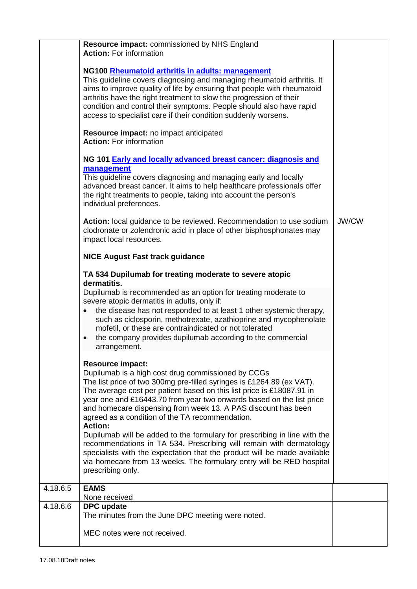|          | Resource impact: commissioned by NHS England<br><b>Action: For information</b>                                                                                                                                                                                                                                                                                                                                                                                                                                                                                                                                                                                                                                                                                             |       |
|----------|----------------------------------------------------------------------------------------------------------------------------------------------------------------------------------------------------------------------------------------------------------------------------------------------------------------------------------------------------------------------------------------------------------------------------------------------------------------------------------------------------------------------------------------------------------------------------------------------------------------------------------------------------------------------------------------------------------------------------------------------------------------------------|-------|
|          | NG100 Rheumatoid arthritis in adults: management<br>This guideline covers diagnosing and managing rheumatoid arthritis. It<br>aims to improve quality of life by ensuring that people with rheumatoid<br>arthritis have the right treatment to slow the progression of their<br>condition and control their symptoms. People should also have rapid<br>access to specialist care if their condition suddenly worsens.                                                                                                                                                                                                                                                                                                                                                      |       |
|          | Resource impact: no impact anticipated<br><b>Action: For information</b>                                                                                                                                                                                                                                                                                                                                                                                                                                                                                                                                                                                                                                                                                                   |       |
|          | NG 101 Early and locally advanced breast cancer: diagnosis and<br>management<br>This guideline covers diagnosing and managing early and locally<br>advanced breast cancer. It aims to help healthcare professionals offer<br>the right treatments to people, taking into account the person's<br>individual preferences.                                                                                                                                                                                                                                                                                                                                                                                                                                                   |       |
|          | Action: local guidance to be reviewed. Recommendation to use sodium<br>clodronate or zolendronic acid in place of other bisphosphonates may<br>impact local resources.                                                                                                                                                                                                                                                                                                                                                                                                                                                                                                                                                                                                     | JW/CW |
|          | <b>NICE August Fast track guidance</b>                                                                                                                                                                                                                                                                                                                                                                                                                                                                                                                                                                                                                                                                                                                                     |       |
|          | TA 534 Dupilumab for treating moderate to severe atopic<br>dermatitis.<br>Dupilumab is recommended as an option for treating moderate to<br>severe atopic dermatitis in adults, only if:<br>the disease has not responded to at least 1 other systemic therapy,<br>$\bullet$<br>such as ciclosporin, methotrexate, azathioprine and mycophenolate<br>mofetil, or these are contraindicated or not tolerated<br>the company provides dupilumab according to the commercial<br>$\bullet$<br>arrangement.                                                                                                                                                                                                                                                                     |       |
|          | <b>Resource impact:</b><br>Dupilumab is a high cost drug commissioned by CCGs<br>The list price of two 300mg pre-filled syringes is £1264.89 (ex VAT).<br>The average cost per patient based on this list price is £18087.91 in<br>year one and £16443.70 from year two onwards based on the list price<br>and homecare dispensing from week 13. A PAS discount has been<br>agreed as a condition of the TA recommendation.<br><b>Action:</b><br>Dupilumab will be added to the formulary for prescribing in line with the<br>recommendations in TA 534. Prescribing will remain with dermatology<br>specialists with the expectation that the product will be made available<br>via homecare from 13 weeks. The formulary entry will be RED hospital<br>prescribing only. |       |
| 4.18.6.5 | <b>EAMS</b><br>None received                                                                                                                                                                                                                                                                                                                                                                                                                                                                                                                                                                                                                                                                                                                                               |       |
| 4.18.6.6 | <b>DPC</b> update<br>The minutes from the June DPC meeting were noted.                                                                                                                                                                                                                                                                                                                                                                                                                                                                                                                                                                                                                                                                                                     |       |
|          | MEC notes were not received.                                                                                                                                                                                                                                                                                                                                                                                                                                                                                                                                                                                                                                                                                                                                               |       |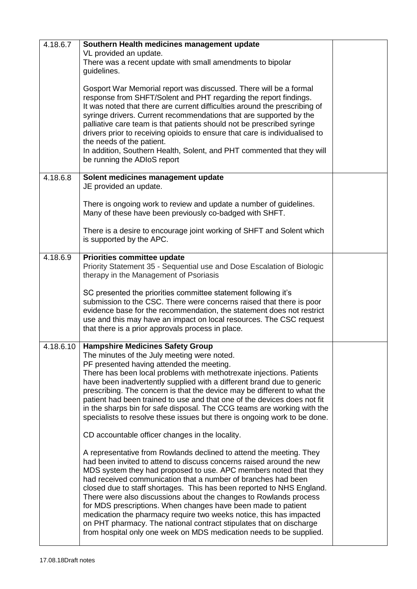| 4.18.6.7  | Southern Health medicines management update<br>VL provided an update.<br>There was a recent update with small amendments to bipolar<br>guidelines.<br>Gosport War Memorial report was discussed. There will be a formal<br>response from SHFT/Solent and PHT regarding the report findings.<br>It was noted that there are current difficulties around the prescribing of<br>syringe drivers. Current recommendations that are supported by the<br>palliative care team is that patients should not be prescribed syringe<br>drivers prior to receiving opioids to ensure that care is individualised to                                                                                                                                                                |  |
|-----------|-------------------------------------------------------------------------------------------------------------------------------------------------------------------------------------------------------------------------------------------------------------------------------------------------------------------------------------------------------------------------------------------------------------------------------------------------------------------------------------------------------------------------------------------------------------------------------------------------------------------------------------------------------------------------------------------------------------------------------------------------------------------------|--|
|           | the needs of the patient.<br>In addition, Southern Health, Solent, and PHT commented that they will<br>be running the ADIoS report                                                                                                                                                                                                                                                                                                                                                                                                                                                                                                                                                                                                                                      |  |
| 4.18.6.8  | Solent medicines management update<br>JE provided an update.                                                                                                                                                                                                                                                                                                                                                                                                                                                                                                                                                                                                                                                                                                            |  |
|           | There is ongoing work to review and update a number of guidelines.<br>Many of these have been previously co-badged with SHFT.                                                                                                                                                                                                                                                                                                                                                                                                                                                                                                                                                                                                                                           |  |
|           | There is a desire to encourage joint working of SHFT and Solent which<br>is supported by the APC.                                                                                                                                                                                                                                                                                                                                                                                                                                                                                                                                                                                                                                                                       |  |
| 4.18.6.9  | Priorities committee update<br>Priority Statement 35 - Sequential use and Dose Escalation of Biologic<br>therapy in the Management of Psoriasis                                                                                                                                                                                                                                                                                                                                                                                                                                                                                                                                                                                                                         |  |
|           | SC presented the priorities committee statement following it's<br>submission to the CSC. There were concerns raised that there is poor<br>evidence base for the recommendation, the statement does not restrict<br>use and this may have an impact on local resources. The CSC request<br>that there is a prior approvals process in place.                                                                                                                                                                                                                                                                                                                                                                                                                             |  |
| 4.18.6.10 | <b>Hampshire Medicines Safety Group</b><br>The minutes of the July meeting were noted.<br>PF presented having attended the meeting.<br>There has been local problems with methotrexate injections. Patients<br>have been inadvertently supplied with a different brand due to generic<br>prescribing. The concern is that the device may be different to what the<br>patient had been trained to use and that one of the devices does not fit<br>in the sharps bin for safe disposal. The CCG teams are working with the<br>specialists to resolve these issues but there is ongoing work to be done.                                                                                                                                                                   |  |
|           | CD accountable officer changes in the locality.<br>A representative from Rowlands declined to attend the meeting. They<br>had been invited to attend to discuss concerns raised around the new<br>MDS system they had proposed to use. APC members noted that they<br>had received communication that a number of branches had been<br>closed due to staff shortages. This has been reported to NHS England.<br>There were also discussions about the changes to Rowlands process<br>for MDS prescriptions. When changes have been made to patient<br>medication the pharmacy require two weeks notice, this has impacted<br>on PHT pharmacy. The national contract stipulates that on discharge<br>from hospital only one week on MDS medication needs to be supplied. |  |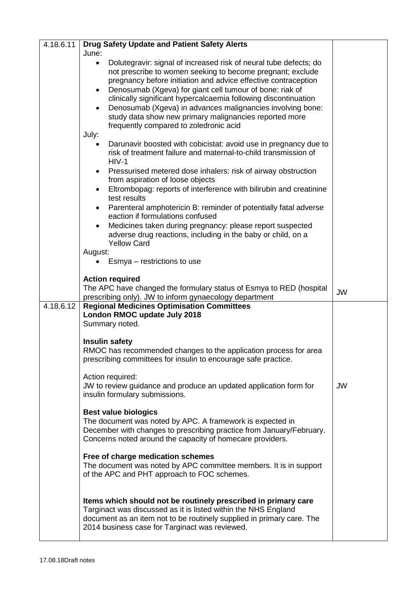| 4.18.6.11 | Drug Safety Update and Patient Safety Alerts                                                                                                     |           |
|-----------|--------------------------------------------------------------------------------------------------------------------------------------------------|-----------|
|           | June:                                                                                                                                            |           |
|           | Dolutegravir: signal of increased risk of neural tube defects; do<br>$\bullet$<br>not prescribe to women seeking to become pregnant; exclude     |           |
|           | pregnancy before initiation and advice effective contraception                                                                                   |           |
|           | Denosumab (Xgeva) for giant cell tumour of bone: riak of<br>$\bullet$                                                                            |           |
|           | clinically significant hypercalcaemia following discontinuation                                                                                  |           |
|           | Denosumab (Xgeva) in advances malignancies involving bone:<br>$\bullet$                                                                          |           |
|           | study data show new primary malignancies reported more                                                                                           |           |
|           | frequently compared to zoledronic acid                                                                                                           |           |
|           | July:                                                                                                                                            |           |
|           | Darunavir boosted with cobicistat: avoid use in pregnancy due to<br>$\bullet$<br>risk of treatment failure and maternal-to-child transmission of |           |
|           | $HIV-1$                                                                                                                                          |           |
|           | Pressurised metered dose inhalers: risk of airway obstruction<br>$\bullet$<br>from aspiration of loose objects                                   |           |
|           | Eltrombopag: reports of interference with bilirubin and creatinine<br>$\bullet$                                                                  |           |
|           | test results                                                                                                                                     |           |
|           | Parenteral amphotericin B: reminder of potentially fatal adverse<br>$\bullet$<br>eaction if formulations confused                                |           |
|           | Medicines taken during pregnancy: please report suspected<br>$\bullet$                                                                           |           |
|           | adverse drug reactions, including in the baby or child, on a                                                                                     |           |
|           | <b>Yellow Card</b>                                                                                                                               |           |
|           | August:                                                                                                                                          |           |
|           | Esmya – restrictions to use                                                                                                                      |           |
|           | <b>Action required</b>                                                                                                                           |           |
|           | The APC have changed the formulary status of Esmya to RED (hospital                                                                              | <b>JW</b> |
|           | prescribing only). JW to inform gynaecology department                                                                                           |           |
| 4.18.6.12 | <b>Regional Medicines Optimisation Committees</b>                                                                                                |           |
|           | London RMOC update July 2018<br>Summary noted.                                                                                                   |           |
|           |                                                                                                                                                  |           |
|           | <b>Insulin safety</b>                                                                                                                            |           |
|           | RMOC has recommended changes to the application process for area                                                                                 |           |
|           | prescribing committees for insulin to encourage safe practice.                                                                                   |           |
|           | Action required:                                                                                                                                 |           |
|           | JW to review guidance and produce an updated application form for                                                                                | <b>JW</b> |
|           | insulin formulary submissions.                                                                                                                   |           |
|           | <b>Best value biologics</b>                                                                                                                      |           |
|           | The document was noted by APC. A framework is expected in                                                                                        |           |
|           | December with changes to prescribing practice from January/February.                                                                             |           |
|           | Concerns noted around the capacity of homecare providers.                                                                                        |           |
|           | Free of charge medication schemes                                                                                                                |           |
|           | The document was noted by APC committee members. It is in support                                                                                |           |
|           | of the APC and PHT approach to FOC schemes.                                                                                                      |           |
|           |                                                                                                                                                  |           |
|           | Items which should not be routinely prescribed in primary care                                                                                   |           |
|           | Targinact was discussed as it is listed within the NHS England                                                                                   |           |
|           | document as an item not to be routinely supplied in primary care. The                                                                            |           |
|           | 2014 business case for Targinact was reviewed.                                                                                                   |           |
|           |                                                                                                                                                  |           |